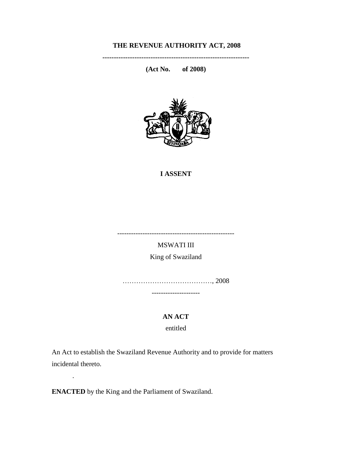## **THE REVENUE AUTHORITY ACT, 2008**

**----------------------------------------------------------------** 

**(Act No. of 2008)**



#### **I ASSENT**

---------------------------------------------------

MSWATI III King of Swaziland

…………………………………, 2008 ---------------------

**AN ACT**

entitled

An Act to establish the Swaziland Revenue Authority and to provide for matters incidental thereto.

**ENACTED** by the King and the Parliament of Swaziland.

.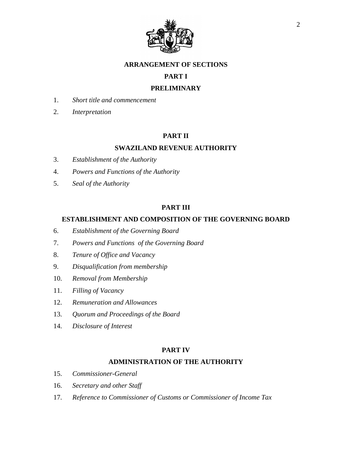

#### **ARRANGEMENT OF SECTIONS**

## **PART I**

## **PRELIMINARY**

- 1. *Short title and commencement*
- 2. *Interpretation*

## **PART II**

## **SWAZILAND REVENUE AUTHORITY**

- 3. *Establishment of the Authority*
- 4. *Powers and Functions of the Authority*
- 5. *Seal of the Authority*

#### **PART III**

#### **ESTABLISHMENT AND COMPOSITION OF THE GOVERNING BOARD**

- 6. *Establishment of the Governing Board*
- 7. *Powers and Functions of the Governing Board*
- 8. *Tenure of Office and Vacancy*
- 9. *Disqualification from membership*
- 10. *Removal from Membership*
- 11. *Filling of Vacancy*
- 12. *Remuneration and Allowances*
- 13. *Quorum and Proceedings of the Board*
- 14. *Disclosure of Interest*

#### **PART IV**

#### **ADMINISTRATION OF THE AUTHORITY**

- 15. *Commissioner-General*
- 16. *Secretary and other Staff*
- 17. *Reference to Commissioner of Customs or Commissioner of Income Tax*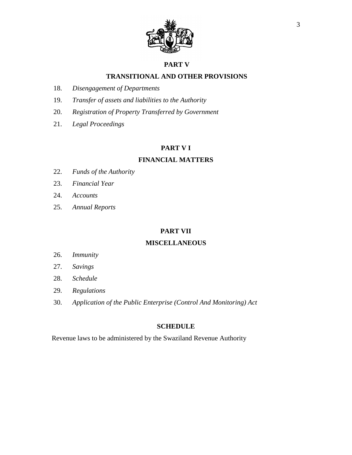

#### **PART V**

## **TRANSITIONAL AND OTHER PROVISIONS**

- 18. *Disengagement of Departments*
- 19. *Transfer of assets and liabilities to the Authority*
- 20. *Registration of Property Transferred by Government*
- 21. *Legal Proceedings*

#### **PART V I**

## **FINANCIAL MATTERS**

- 22. *Funds of the Authority*
- 23. *Financial Year*
- 24. *Accounts*
- 25. *Annual Reports*

#### **PART VII**

## **MISCELLANEOUS**

- 26. *Immunity*
- 27. *Savings*
- 28. *Schedule*
- 29. *Regulations*
- 30. *Application of the Public Enterprise (Control And Monitoring) Act*

## **SCHEDULE**

Revenue laws to be administered by the Swaziland Revenue Authority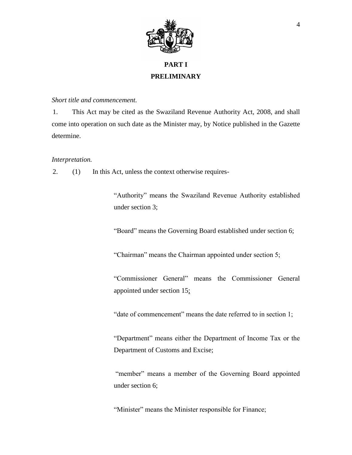

# **PART I PRELIMINARY**

#### *Short title and commencement.*

1. This Act may be cited as the Swaziland Revenue Authority Act, 2008, and shall come into operation on such date as the Minister may, by Notice published in the Gazette determine.

#### *Interpretation.*

2. (1) In this Act, unless the context otherwise requires-

"Authority" means the Swaziland Revenue Authority established under section 3;

"Board" means the Governing Board established under section 6;

"Chairman" means the Chairman appointed under section 5;

"Commissioner General" means the Commissioner General appointed under section 15;

"date of commencement" means the date referred to in section 1;

"Department" means either the Department of Income Tax or the Department of Customs and Excise;

"member" means a member of the Governing Board appointed under section 6;

"Minister" means the Minister responsible for Finance;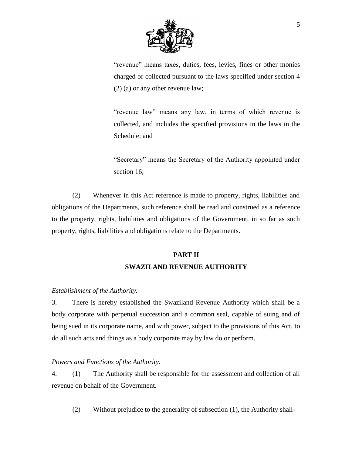

"revenue" means taxes, duties, fees, levies, fines or other monies charged or collected pursuant to the laws specified under section 4 (2) (a) or any other revenue law;

"revenue law" means any law, in terms of which revenue is collected, and includes the specified provisions in the laws in the Schedule; and

"Secretary" means the Secretary of the Authority appointed under section 16;

(2) Whenever in this Act reference is made to property, rights, liabilities and obligations of the Departments, such reference shall be read and construed as a reference to the property, rights, liabilities and obligations of the Government, in so far as such property, rights, liabilities and obligations relate to the Departments.

# **PART II SWAZILAND REVENUE AUTHORITY**

## *Establishment of the Authority.*

3. There is hereby established the Swaziland Revenue Authority which shall be a body corporate with perpetual succession and a common seal, capable of suing and of being sued in its corporate name, and with power, subject to the provisions of this Act, to do all such acts and things as a body corporate may by law do or perform.

## *Powers and Functions of the Authority.*

4. (1) The Authority shall be responsible for the assessment and collection of all revenue on behalf of the Government.

(2) Without prejudice to the generality of subsection (1), the Authority shall-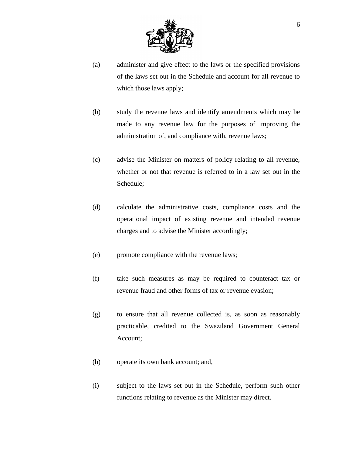

- (a) administer and give effect to the laws or the specified provisions of the laws set out in the Schedule and account for all revenue to which those laws apply;
- (b) study the revenue laws and identify amendments which may be made to any revenue law for the purposes of improving the administration of, and compliance with, revenue laws;
- (c) advise the Minister on matters of policy relating to all revenue, whether or not that revenue is referred to in a law set out in the Schedule;
- (d) calculate the administrative costs, compliance costs and the operational impact of existing revenue and intended revenue charges and to advise the Minister accordingly;
- (e) promote compliance with the revenue laws;
- (f) take such measures as may be required to counteract tax or revenue fraud and other forms of tax or revenue evasion;
- (g) to ensure that all revenue collected is, as soon as reasonably practicable, credited to the Swaziland Government General Account;
- (h) operate its own bank account; and,
- (i) subject to the laws set out in the Schedule, perform such other functions relating to revenue as the Minister may direct.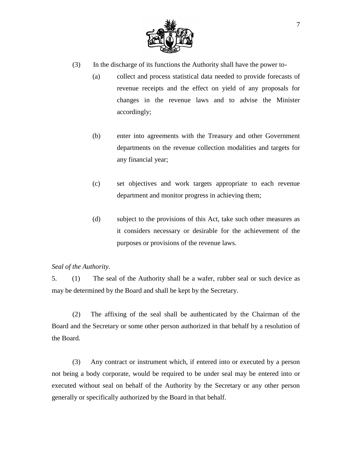

- (3) In the discharge of its functions the Authority shall have the power to-
	- (a) collect and process statistical data needed to provide forecasts of revenue receipts and the effect on yield of any proposals for changes in the revenue laws and to advise the Minister accordingly;
	- (b) enter into agreements with the Treasury and other Government departments on the revenue collection modalities and targets for any financial year;
	- (c) set objectives and work targets appropriate to each revenue department and monitor progress in achieving them;
	- (d) subject to the provisions of this Act, take such other measures as it considers necessary or desirable for the achievement of the purposes or provisions of the revenue laws.

## *Seal of the Authority.*

5. (1) The seal of the Authority shall be a wafer, rubber seal or such device as may be determined by the Board and shall be kept by the Secretary.

(2) The affixing of the seal shall be authenticated by the Chairman of the Board and the Secretary or some other person authorized in that behalf by a resolution of the Board.

(3) Any contract or instrument which, if entered into or executed by a person not being a body corporate, would be required to be under seal may be entered into or executed without seal on behalf of the Authority by the Secretary or any other person generally or specifically authorized by the Board in that behalf.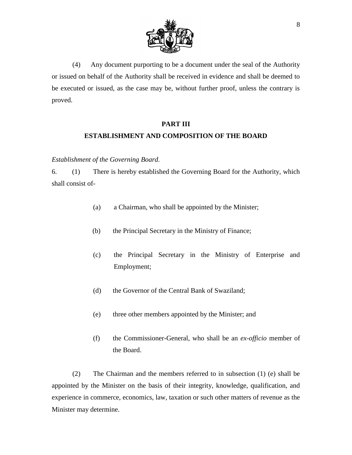

(4) Any document purporting to be a document under the seal of the Authority or issued on behalf of the Authority shall be received in evidence and shall be deemed to be executed or issued, as the case may be, without further proof, unless the contrary is proved.

#### **PART III**

## **ESTABLISHMENT AND COMPOSITION OF THE BOARD**

#### *Establishment of the Governing Board.*

6. (1) There is hereby established the Governing Board for the Authority, which shall consist of-

- (a) a Chairman, who shall be appointed by the Minister;
- (b) the Principal Secretary in the Ministry of Finance;
- (c) the Principal Secretary in the Ministry of Enterprise and Employment;
- (d) the Governor of the Central Bank of Swaziland;
- (e) three other members appointed by the Minister; and
- (f) the Commissioner-General, who shall be an *ex-officio* member of the Board.

(2) The Chairman and the members referred to in subsection (1) (e) shall be appointed by the Minister on the basis of their integrity, knowledge, qualification, and experience in commerce, economics, law, taxation or such other matters of revenue as the Minister may determine.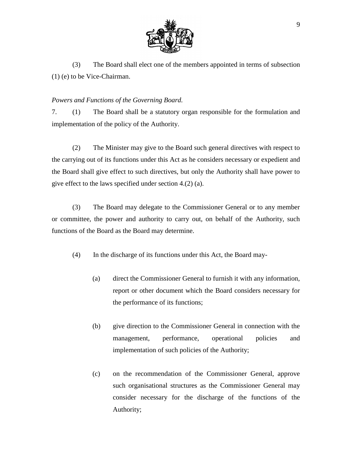

(3) The Board shall elect one of the members appointed in terms of subsection (1) (e) to be Vice-Chairman.

## *Powers and Functions of the Governing Board.*

7. (1) The Board shall be a statutory organ responsible for the formulation and implementation of the policy of the Authority.

(2) The Minister may give to the Board such general directives with respect to the carrying out of its functions under this Act as he considers necessary or expedient and the Board shall give effect to such directives, but only the Authority shall have power to give effect to the laws specified under section 4.(2) (a).

(3) The Board may delegate to the Commissioner General or to any member or committee, the power and authority to carry out, on behalf of the Authority, such functions of the Board as the Board may determine.

(4) In the discharge of its functions under this Act, the Board may-

- (a) direct the Commissioner General to furnish it with any information, report or other document which the Board considers necessary for the performance of its functions;
- (b) give direction to the Commissioner General in connection with the management, performance, operational policies and implementation of such policies of the Authority;
- (c) on the recommendation of the Commissioner General, approve such organisational structures as the Commissioner General may consider necessary for the discharge of the functions of the Authority;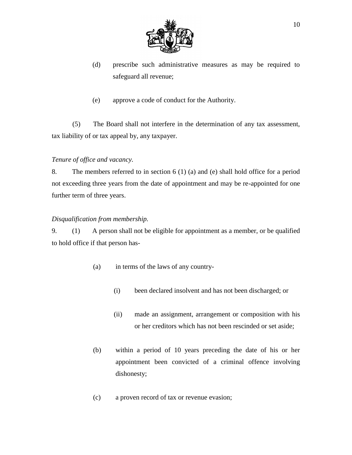

- (d) prescribe such administrative measures as may be required to safeguard all revenue;
- (e) approve a code of conduct for the Authority.

(5) The Board shall not interfere in the determination of any tax assessment, tax liability of or tax appeal by, any taxpayer.

## *Tenure of office and vacancy.*

8. The members referred to in section 6 (1) (a) and (e) shall hold office for a period not exceeding three years from the date of appointment and may be re-appointed for one further term of three years.

## *Disqualification from membership.*

9. (1) A person shall not be eligible for appointment as a member, or be qualified to hold office if that person has-

- (a) in terms of the laws of any country-
	- (i) been declared insolvent and has not been discharged; or
	- (ii) made an assignment, arrangement or composition with his or her creditors which has not been rescinded or set aside;
- (b) within a period of 10 years preceding the date of his or her appointment been convicted of a criminal offence involving dishonesty;
- (c) a proven record of tax or revenue evasion;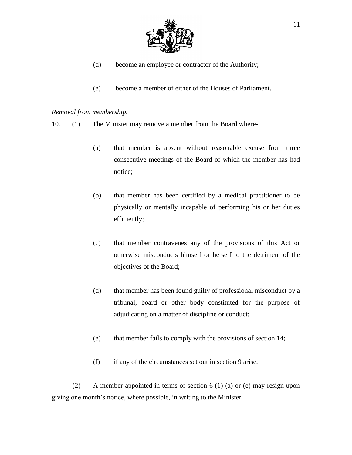

- (d) become an employee or contractor of the Authority;
- (e) become a member of either of the Houses of Parliament.

## *Removal from membership.*

- 10. (1) The Minister may remove a member from the Board where-
	- (a) that member is absent without reasonable excuse from three consecutive meetings of the Board of which the member has had notice;
	- (b) that member has been certified by a medical practitioner to be physically or mentally incapable of performing his or her duties efficiently;
	- (c) that member contravenes any of the provisions of this Act or otherwise misconducts himself or herself to the detriment of the objectives of the Board;
	- (d) that member has been found guilty of professional misconduct by a tribunal, board or other body constituted for the purpose of adjudicating on a matter of discipline or conduct;
	- (e) that member fails to comply with the provisions of section 14;
	- (f) if any of the circumstances set out in section 9 arise.

(2) A member appointed in terms of section 6 (1) (a) or (e) may resign upon giving one month's notice, where possible, in writing to the Minister.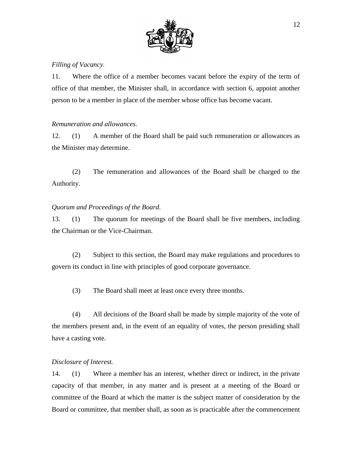

## *Filling of Vacancy.*

11. Where the office of a member becomes vacant before the expiry of the term of office of that member, the Minister shall, in accordance with section 6, appoint another person to be a member in place of the member whose office has become vacant.

## *Remuneration and allowances.*

12. (1) A member of the Board shall be paid such remuneration or allowances as the Minister may determine.

(2) The remuneration and allowances of the Board shall be charged to the Authority.

## *Quorum and Proceedings of the Board.*

13. (1) The quorum for meetings of the Board shall be five members, including the Chairman or the Vice-Chairman.

(2) Subject to this section, the Board may make regulations and procedures to govern its conduct in line with principles of good corporate governance.

(3) The Board shall meet at least once every three months.

(4) All decisions of the Board shall be made by simple majority of the vote of the members present and, in the event of an equality of votes, the person presiding shall have a casting vote.

#### *Disclosure of Interest.*

14. (1) Where a member has an interest, whether direct or indirect, in the private capacity of that member, in any matter and is present at a meeting of the Board or committee of the Board at which the matter is the subject matter of consideration by the Board or committee, that member shall, as soon as is practicable after the commencement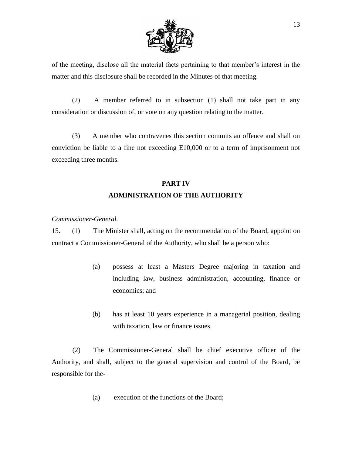

of the meeting, disclose all the material facts pertaining to that member's interest in the matter and this disclosure shall be recorded in the Minutes of that meeting.

(2) A member referred to in subsection (1) shall not take part in any consideration or discussion of, or vote on any question relating to the matter.

(3) A member who contravenes this section commits an offence and shall on conviction be liable to a fine not exceeding E10,000 or to a term of imprisonment not exceeding three months.

# **PART IV ADMINISTRATION OF THE AUTHORITY**

*Commissioner-General.*

15. (1) The Minister shall, acting on the recommendation of the Board, appoint on contract a Commissioner-General of the Authority, who shall be a person who:

- (a) possess at least a Masters Degree majoring in taxation and including law, business administration, accounting, finance or economics; and
- (b) has at least 10 years experience in a managerial position, dealing with taxation, law or finance issues.

(2) The Commissioner-General shall be chief executive officer of the Authority, and shall, subject to the general supervision and control of the Board, be responsible for the-

(a) execution of the functions of the Board;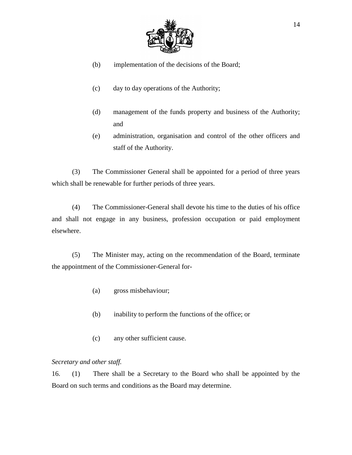

- (b) implementation of the decisions of the Board;
- (c) day to day operations of the Authority;
- (d) management of the funds property and business of the Authority; and
- (e) administration, organisation and control of the other officers and staff of the Authority.

(3) The Commissioner General shall be appointed for a period of three years which shall be renewable for further periods of three years.

(4) The Commissioner-General shall devote his time to the duties of his office and shall not engage in any business, profession occupation or paid employment elsewhere.

(5) The Minister may, acting on the recommendation of the Board, terminate the appointment of the Commissioner-General for-

- (a) gross misbehaviour;
- (b) inability to perform the functions of the office; or
- (c) any other sufficient cause.

#### *Secretary and other staff.*

16. (1) There shall be a Secretary to the Board who shall be appointed by the Board on such terms and conditions as the Board may determine.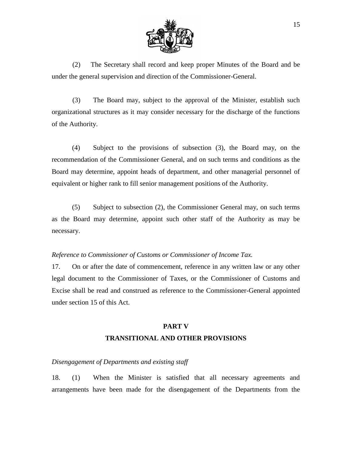

(2) The Secretary shall record and keep proper Minutes of the Board and be under the general supervision and direction of the Commissioner-General.

(3) The Board may, subject to the approval of the Minister, establish such organizational structures as it may consider necessary for the discharge of the functions of the Authority.

(4) Subject to the provisions of subsection (3), the Board may, on the recommendation of the Commissioner General, and on such terms and conditions as the Board may determine, appoint heads of department, and other managerial personnel of equivalent or higher rank to fill senior management positions of the Authority.

(5) Subject to subsection (2), the Commissioner General may, on such terms as the Board may determine, appoint such other staff of the Authority as may be necessary.

#### *Reference to Commissioner of Customs or Commissioner of Income Tax.*

17. On or after the date of commencement, reference in any written law or any other legal document to the Commissioner of Taxes, or the Commissioner of Customs and Excise shall be read and construed as reference to the Commissioner-General appointed under section 15 of this Act.

## **PART V TRANSITIONAL AND OTHER PROVISIONS**

#### *Disengagement of Departments and existing staff*

18. (1) When the Minister is satisfied that all necessary agreements and arrangements have been made for the disengagement of the Departments from the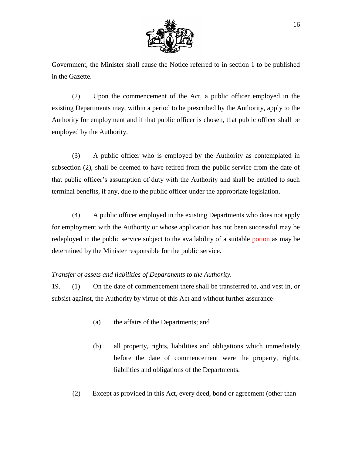

Government, the Minister shall cause the Notice referred to in section 1 to be published in the Gazette.

(2) Upon the commencement of the Act, a public officer employed in the existing Departments may, within a period to be prescribed by the Authority, apply to the Authority for employment and if that public officer is chosen, that public officer shall be employed by the Authority.

(3) A public officer who is employed by the Authority as contemplated in subsection (2), shall be deemed to have retired from the public service from the date of that public officer's assumption of duty with the Authority and shall be entitled to such terminal benefits, if any, due to the public officer under the appropriate legislation.

(4) A public officer employed in the existing Departments who does not apply for employment with the Authority or whose application has not been successful may be redeployed in the public service subject to the availability of a suitable potion as may be determined by the Minister responsible for the public service.

#### *Transfer of assets and liabilities of Departments to the Authority.*

19. (1) On the date of commencement there shall be transferred to, and vest in, or subsist against, the Authority by virtue of this Act and without further assurance-

- (a) the affairs of the Departments; and
- (b) all property, rights, liabilities and obligations which immediately before the date of commencement were the property, rights, liabilities and obligations of the Departments.
- (2) Except as provided in this Act, every deed, bond or agreement (other than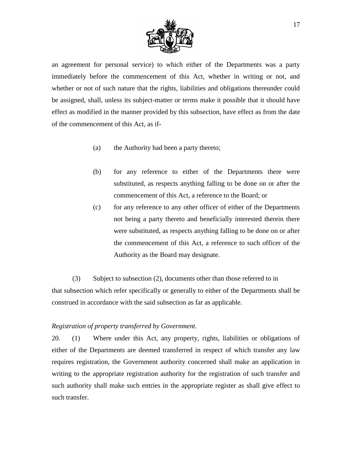

an agreement for personal service) to which either of the Departments was a party immediately before the commencement of this Act, whether in writing or not, and whether or not of such nature that the rights, liabilities and obligations thereunder could be assigned, shall, unless its subject-matter or terms make it possible that it should have effect as modified in the manner provided by this subsection, have effect as from the date of the commencement of this Act, as if-

- (a) the Authority had been a party thereto;
- (b) for any reference to either of the Departments there were substituted, as respects anything falling to be done on or after the commencement of this Act, a reference to the Board; or
- (c) for any reference to any other officer of either of the Departments not being a party thereto and beneficially interested therein there were substituted, as respects anything falling to be done on or after the commencement of this Act, a reference to such officer of the Authority as the Board may designate.

(3) Subject to subsection (2), documents other than those referred to in that subsection which refer specifically or generally to either of the Departments shall be construed in accordance with the said subsection as far as applicable.

#### *Registration of property transferred by Government.*

20. (1) Where under this Act, any property, rights, liabilities or obligations of either of the Departments are deemed transferred in respect of which transfer any law requires registration, the Government authority concerned shall make an application in writing to the appropriate registration authority for the registration of such transfer and such authority shall make such entries in the appropriate register as shall give effect to such transfer.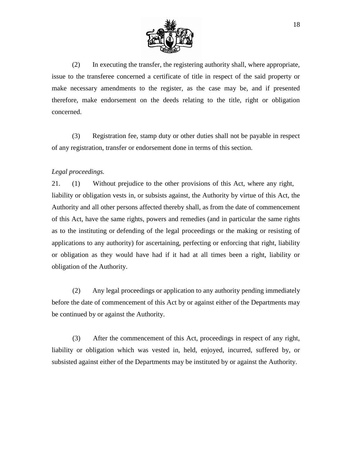

(2) In executing the transfer, the registering authority shall, where appropriate, issue to the transferee concerned a certificate of title in respect of the said property or make necessary amendments to the register, as the case may be, and if presented therefore, make endorsement on the deeds relating to the title, right or obligation concerned.

(3) Registration fee, stamp duty or other duties shall not be payable in respect of any registration, transfer or endorsement done in terms of this section.

## *Legal proceedings.*

21. (1) Without prejudice to the other provisions of this Act, where any right, liability or obligation vests in, or subsists against, the Authority by virtue of this Act, the Authority and all other persons affected thereby shall, as from the date of commencement of this Act, have the same rights, powers and remedies (and in particular the same rights as to the instituting or defending of the legal proceedings or the making or resisting of applications to any authority) for ascertaining, perfecting or enforcing that right, liability or obligation as they would have had if it had at all times been a right, liability or obligation of the Authority.

(2) Any legal proceedings or application to any authority pending immediately before the date of commencement of this Act by or against either of the Departments may be continued by or against the Authority.

(3) After the commencement of this Act, proceedings in respect of any right, liability or obligation which was vested in, held, enjoyed, incurred, suffered by, or subsisted against either of the Departments may be instituted by or against the Authority.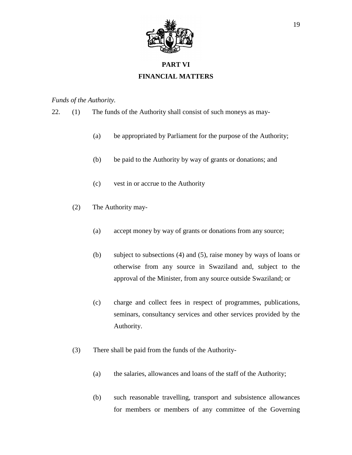

# **PART VI FINANCIAL MATTERS**

## *Funds of the Authority.*

- 22. (1) The funds of the Authority shall consist of such moneys as may-
	- (a) be appropriated by Parliament for the purpose of the Authority;
	- (b) be paid to the Authority by way of grants or donations; and
	- (c) vest in or accrue to the Authority
	- (2) The Authority may-
		- (a) accept money by way of grants or donations from any source;
		- (b) subject to subsections (4) and (5), raise money by ways of loans or otherwise from any source in Swaziland and, subject to the approval of the Minister, from any source outside Swaziland; or
		- (c) charge and collect fees in respect of programmes, publications, seminars, consultancy services and other services provided by the Authority.
	- (3) There shall be paid from the funds of the Authority-
		- (a) the salaries, allowances and loans of the staff of the Authority;
		- (b) such reasonable travelling, transport and subsistence allowances for members or members of any committee of the Governing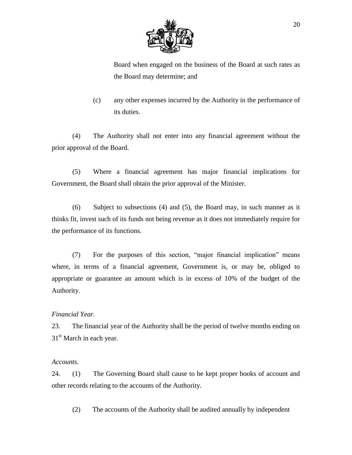

Board when engaged on the business of the Board at such rates as the Board may determine; and

(c) any other expenses incurred by the Authority in the performance of its duties.

(4) The Authority shall not enter into any financial agreement without the prior approval of the Board.

(5) Where a financial agreement has major financial implications for Government, the Board shall obtain the prior approval of the Minister.

(6) Subject to subsections (4) and (5), the Board may, in such manner as it thinks fit, invest such of its funds not being revenue as it does not immediately require for the performance of its functions.

(7) For the purposes of this section, "major financial implication" means where, in terms of a financial agreement, Government is, or may be, obliged to appropriate or guarantee an amount which is in excess of 10% of the budget of the Authority.

#### *Financial Year.*

23. The financial year of the Authority shall be the period of twelve months ending on  $31<sup>st</sup>$  March in each year.

#### *Accounts.*

24. (1) The Governing Board shall cause to be kept proper books of account and other records relating to the accounts of the Authority.

(2) The accounts of the Authority shall be audited annually by independent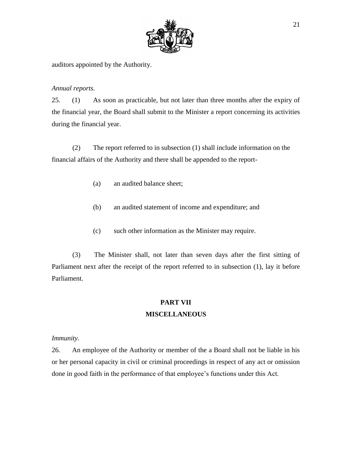

auditors appointed by the Authority.

## *Annual reports.*

25. (1) As soon as practicable, but not later than three months after the expiry of the financial year, the Board shall submit to the Minister a report concerning its activities during the financial year.

(2) The report referred to in subsection (1) shall include information on the financial affairs of the Authority and there shall be appended to the report-

- (a) an audited balance sheet;
- (b) an audited statement of income and expenditure; and
- (c) such other information as the Minister may require.

(3) The Minister shall, not later than seven days after the first sitting of Parliament next after the receipt of the report referred to in subsection (1), lay it before Parliament.

## **PART VII MISCELLANEOUS**

## *Immunity.*

26. An employee of the Authority or member of the a Board shall not be liable in his or her personal capacity in civil or criminal proceedings in respect of any act or omission done in good faith in the performance of that employee's functions under this Act.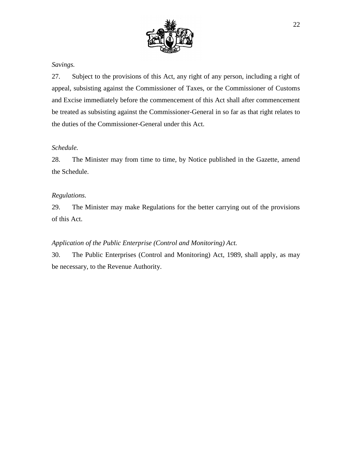

## *Savings.*

27. Subject to the provisions of this Act, any right of any person, including a right of appeal, subsisting against the Commissioner of Taxes, or the Commissioner of Customs and Excise immediately before the commencement of this Act shall after commencement be treated as subsisting against the Commissioner-General in so far as that right relates to the duties of the Commissioner-General under this Act.

#### *Schedule.*

28. The Minister may from time to time, by Notice published in the Gazette, amend the Schedule.

#### *Regulations.*

29. The Minister may make Regulations for the better carrying out of the provisions of this Act.

#### *Application of the Public Enterprise (Control and Monitoring) Act.*

30. The Public Enterprises (Control and Monitoring) Act, 1989, shall apply*,* as may be necessary, to the Revenue Authority.